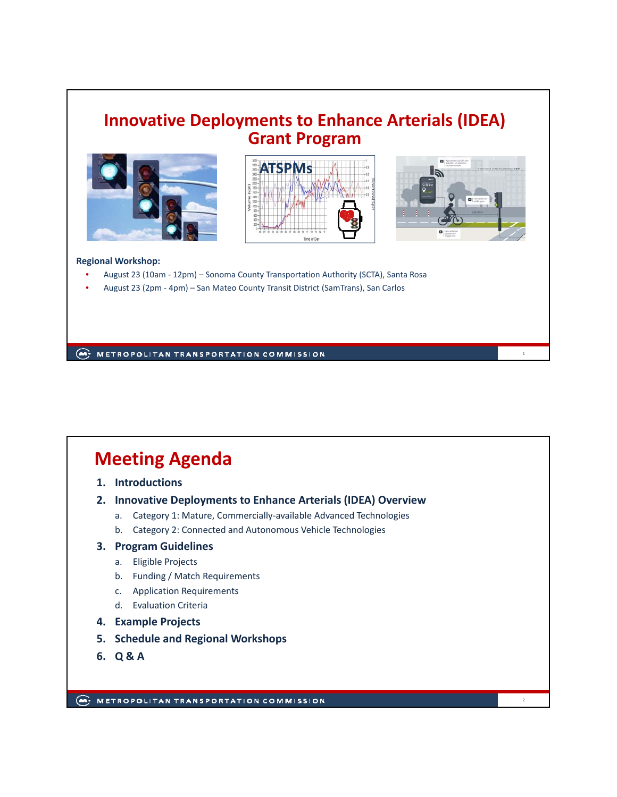### **Innovative Deployments to Enhance Arterials (IDEA) Grant Program**







1

2

#### **Regional Workshop:**

- August 23 (10am ‐ 12pm) Sonoma County Transportation Authority (SCTA), Santa Rosa
- August 23 (2pm ‐ 4pm) San Mateo County Transit District (SamTrans), San Carlos

**AND METROPOLITAN TRANSPORTATION COMMISSION** 

# **Meeting Agenda**

- **1. Introductions**
- **2. Innovative Deployments to Enhance Arterials (IDEA) Overview**
	- a. Category 1: Mature, Commercially‐available Advanced Technologies
	- b. Category 2: Connected and Autonomous Vehicle Technologies

#### **3. Program Guidelines**

- a. Eligible Projects
- b. Funding / Match Requirements
- c. Application Requirements
- d. Evaluation Criteria
- **4. Example Projects**
- **5. Schedule and Regional Workshops**
- **6. Q & A**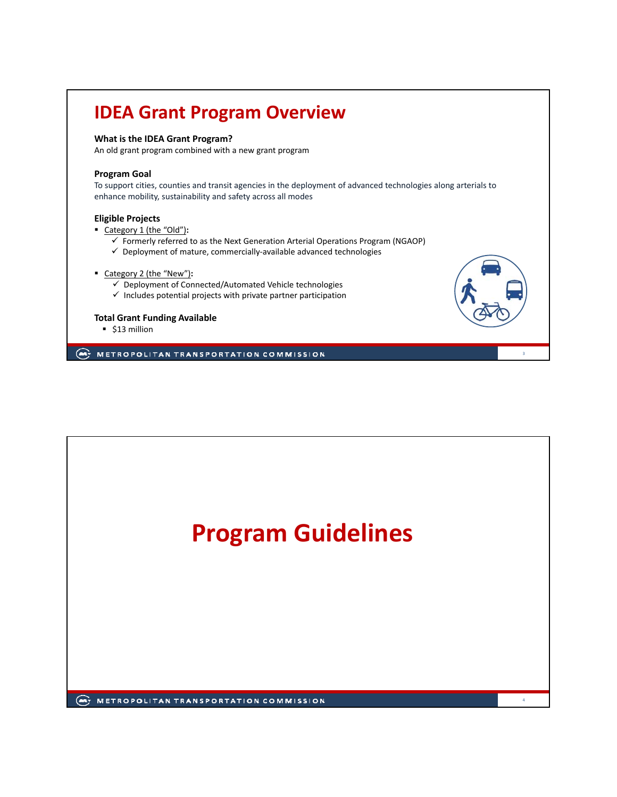# **IDEA Grant Program Overview**

#### **What is the IDEA Grant Program?**

An old grant program combined with a new grant program

#### **Program Goal**

To support cities, counties and transit agencies in the deployment of advanced technologies along arterials to enhance mobility, sustainability and safety across all modes

#### **Eligible Projects**

Category 1 (the "Old")**:**

- $\checkmark$  Formerly referred to as the Next Generation Arterial Operations Program (NGAOP)
- Deployment of mature, commercially‐available advanced technologies
- Category 2 (the "New")**:**
	- $\checkmark$  Deployment of Connected/Automated Vehicle technologies
	- $\checkmark$  Includes potential projects with private partner participation

#### **Total Grant Funding Available**

■ \$13 million

METROPOLITAN TRANSPORTATION COMMISSION



3

4

**ANTI METROPOLITAN TRANSPORTATION COMMISSION**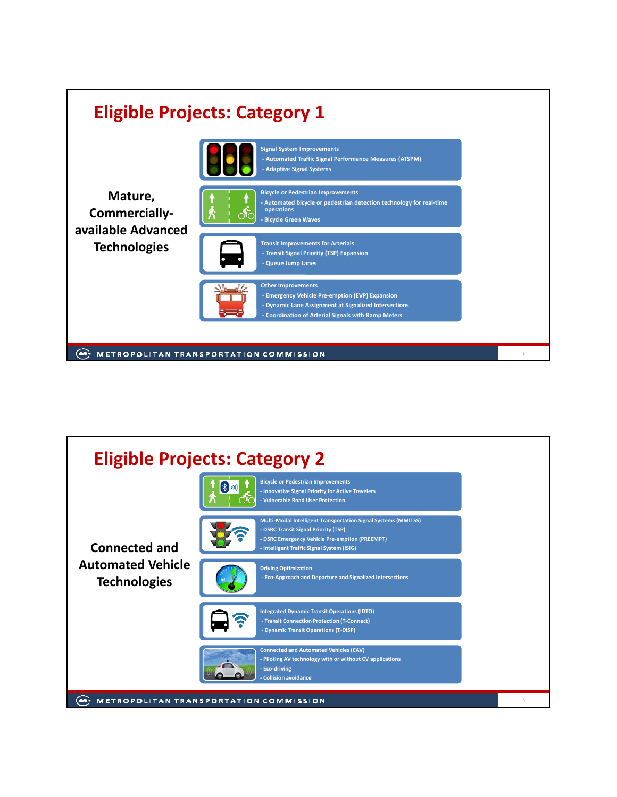

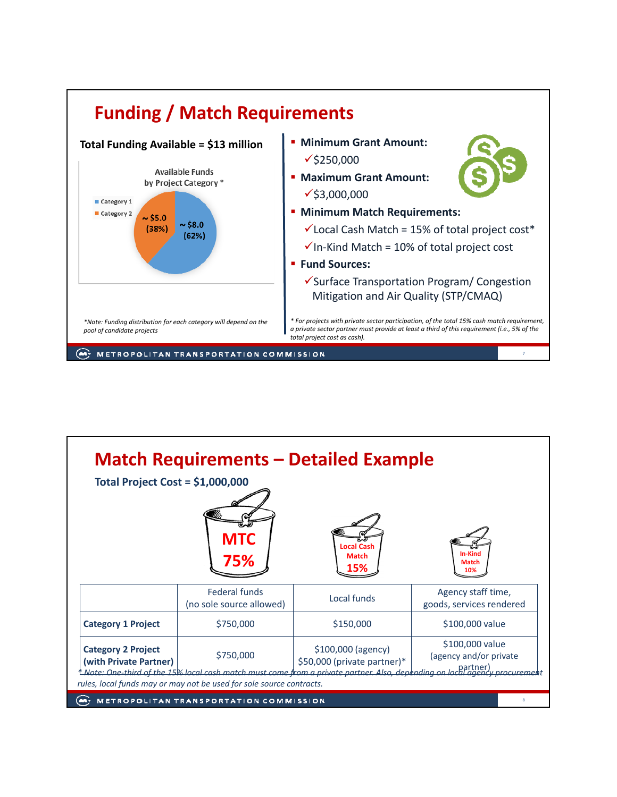

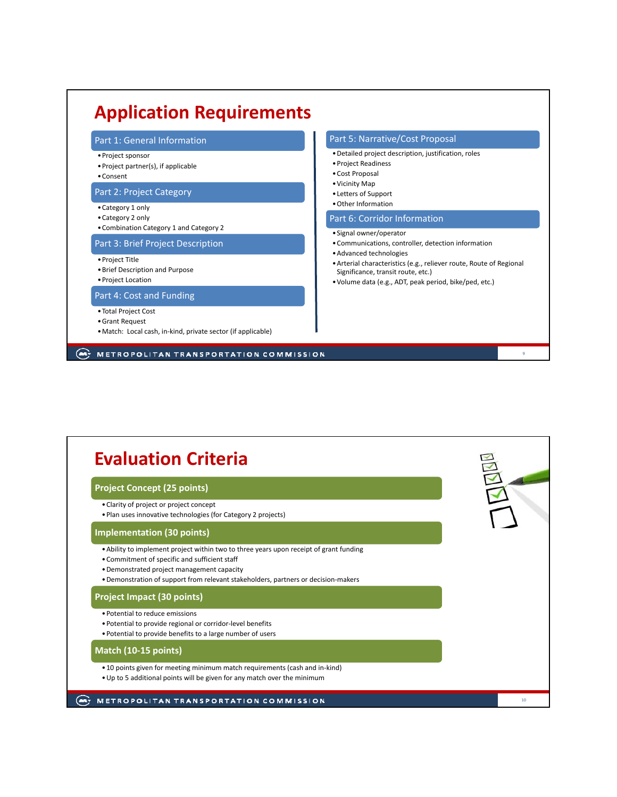#### Part 1: General Information •Project sponsor •Project partner(s), if applicable •Consent Part 2: Project Category •Category 1 only •Category 2 only •Combination Category 1 and Category 2 Part 3: Brief Project Description •Project Title •Brief Description and Purpose •Project Location Part 4: Cost and Funding •Total Project Cost •Grant Request •Match: Local cash, in‐kind, private sector (if applicable) **Application Requirements** Part 5: Narrative/Cost Proposal •Detailed project description, justification, roles •Project Readiness •Cost Proposal •Vicinity Map •Letters of Support •Other Information Part 6: Corridor Information •Signal owner/operator •Communications, controller, detection information •Advanced technologies •Arterial characteristics (e.g., reliever route, Route of Regional Significance, transit route, etc.) •Volume data (e.g., ADT, peak period, bike/ped, etc.)

METROPOLITAN TRANSPORTATION COMMISSION

9

### **Evaluation Criteria Project Concept (25 points)** •Clarity of project or project concept •Plan uses innovative technologies (for Category 2 projects) **Implementation (30 points)** •Ability to implement project within two to three years upon receipt of grant funding •Commitment of specific and sufficient staff •Demonstrated project management capacity •Demonstration of support from relevant stakeholders, partners or decision‐makers **Project Impact (30 points)** •Potential to reduce emissions •Potential to provide regional or corridor‐level benefits •Potential to provide benefits to a large number of users **Match (10‐15 points)** • 10 points given for meeting minimum match requirements (cash and in‐kind) •Up to 5 additional points will be given for any match over the minimum **ANTI METROPOLITAN TRANSPORTATION COMMISSION** 10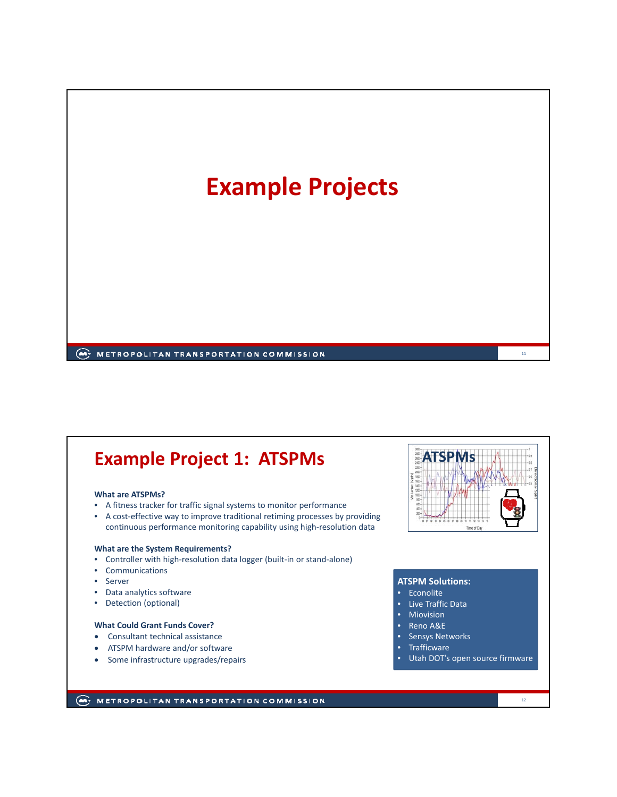

# **Example Project 1: ATSPMs ATSPMs**

#### **What are ATSPMs?**

- A fitness tracker for traffic signal systems to monitor performance
- A cost-effective way to improve traditional retiming processes by providing continuous performance monitoring capability using high‐resolution data

#### **What are the System Requirements?**

- Controller with high-resolution data logger (built-in or stand-alone)
- Communications
- Server
- Data analytics software
- Detection (optional)

#### **What Could Grant Funds Cover?**

- Consultant technical assistance
- ATSPM hardware and/or software
- Some infrastructure upgrades/repairs



#### **ATSPM Solutions:**

- Econolite
- Live Traffic Data
- **Miovision**
- Reno A&E
- Sensys Networks
- **Trafficware**
- Utah DOT's open source firmware

#### **ANTI METROPOLITAN TRANSPORTATION COMMISSION**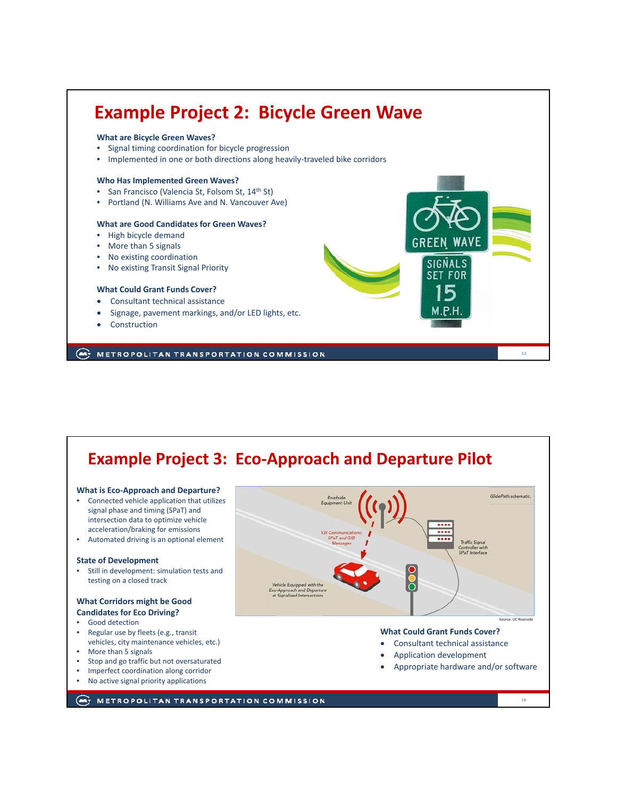

### **Example Project 3: Eco‐Approach and Departure Pilot**

#### **What is Eco‐Approach and Departure?**

- Connected vehicle application that utilizes signal phase and timing (SPaT) and intersection data to optimize vehicle acceleration/braking for emissions
- Automated driving is an optional element

#### **State of Development**

• Still in development: simulation tests and testing on a closed track

#### **What Corridors might be Good Candidates for Eco Driving?**

- Good detection
- Regular use by fleets (e.g., transit vehicles, city maintenance vehicles, etc.)
- More than 5 signals
- Stop and go traffic but not oversaturated
- Imperfect coordination along corridor
- No active signal priority applications

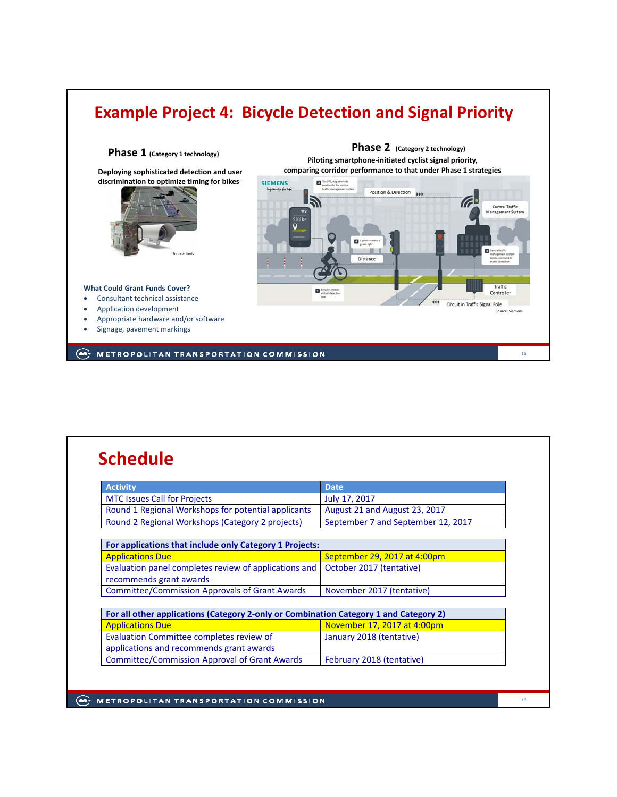## **Example Project 4: Bicycle Detection and Signal Priority**



# **Schedule**

| <b>Activity</b>                                                                       | <b>Date</b>                        |  |
|---------------------------------------------------------------------------------------|------------------------------------|--|
| <b>MTC Issues Call for Projects</b>                                                   | July 17, 2017                      |  |
| Round 1 Regional Workshops for potential applicants                                   | August 21 and August 23, 2017      |  |
| Round 2 Regional Workshops (Category 2 projects)                                      | September 7 and September 12, 2017 |  |
|                                                                                       |                                    |  |
| For applications that include only Category 1 Projects:                               |                                    |  |
| <b>Applications Due</b>                                                               | September 29, 2017 at 4:00pm       |  |
| Evaluation panel completes review of applications and                                 | October 2017 (tentative)           |  |
| recommends grant awards                                                               |                                    |  |
| <b>Committee/Commission Approvals of Grant Awards</b>                                 | November 2017 (tentative)          |  |
|                                                                                       |                                    |  |
| For all other applications (Category 2-only or Combination Category 1 and Category 2) |                                    |  |
| <b>Applications Due</b>                                                               | November 17, 2017 at 4:00pm        |  |
| Evaluation Committee completes review of                                              | January 2018 (tentative)           |  |
| applications and recommends grant awards                                              |                                    |  |
| <b>Committee/Commission Approval of Grant Awards</b>                                  | February 2018 (tentative)          |  |

**ANTI METROPOLITAN TRANSPORTATION COMMISSION**